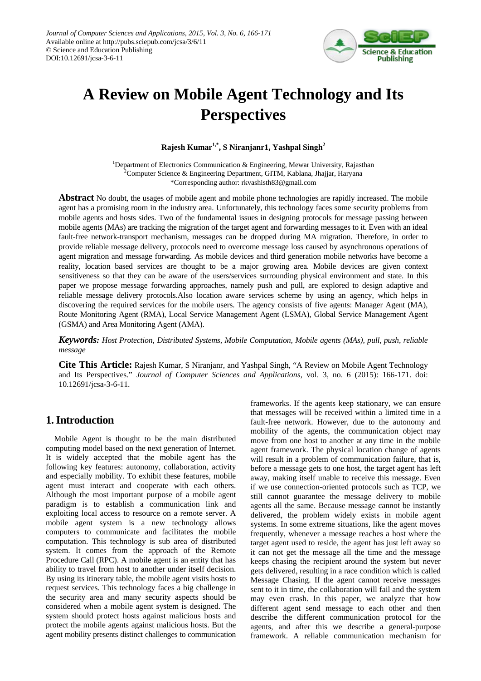

# **A Review on Mobile Agent Technology and Its Perspectives**

**Rajesh Kumar1,\*, S Niranjanr1, Yashpal Singh<sup>2</sup>**

<sup>1</sup>Department of Electronics Communication & Engineering, Mewar University, Rajasthan <sup>2</sup>Computer Science & Engineering Department, GITM, Kablana, Jhajjar, Haryana \*Corresponding author: rkvashisth83@gmail.com

**Abstract** No doubt, the usages of mobile agent and mobile phone technologies are rapidly increased. The mobile agent has a promising room in the industry area. Unfortunately, this technology faces some security problems from mobile agents and hosts sides. Two of the fundamental issues in designing protocols for message passing between mobile agents (MAs) are tracking the migration of the target agent and forwarding messages to it. Even with an ideal fault-free network-transport mechanism, messages can be dropped during MA migration. Therefore, in order to provide reliable message delivery, protocols need to overcome message loss caused by asynchronous operations of agent migration and message forwarding. As mobile devices and third generation mobile networks have become a reality, location based services are thought to be a major growing area. Mobile devices are given context sensitiveness so that they can be aware of the users/services surrounding physical environment and state. In this paper we propose message forwarding approaches, namely push and pull, are explored to design adaptive and reliable message delivery protocols.Also location aware services scheme by using an agency, which helps in discovering the required services for the mobile users. The agency consists of five agents: Manager Agent (MA), Route Monitoring Agent (RMA), Local Service Management Agent (LSMA), Global Service Management Agent (GSMA) and Area Monitoring Agent (AMA).

*Keywords: Host Protection, Distributed Systems, Mobile Computation, Mobile agents (MAs), pull, push, reliable message*

**Cite This Article:** Rajesh Kumar, S Niranjanr, and Yashpal Singh, "A Review on Mobile Agent Technology and Its Perspectives." *Journal of Computer Sciences and Applications*, vol. 3, no. 6 (2015): 166-171. doi: 10.12691/jcsa-3-6-11.

# **1. Introduction**

Mobile Agent is thought to be the main distributed computing model based on the next generation of Internet. It is widely accepted that the mobile agent has the following key features: autonomy, collaboration, activity and especially mobility. To exhibit these features, mobile agent must interact and cooperate with each others. Although the most important purpose of a mobile agent paradigm is to establish a communication link and exploiting local access to resource on a remote server. A mobile agent system is a new technology allows computers to communicate and facilitates the mobile computation. This technology is sub area of distributed system. It comes from the approach of the Remote Procedure Call (RPC). A mobile agent is an entity that has ability to travel from host to another under itself decision. By using its itinerary table, the mobile agent visits hosts to request services. This technology faces a big challenge in the security area and many security aspects should be considered when a mobile agent system is designed. The system should protect hosts against malicious hosts and protect the mobile agents against malicious hosts. But the agent mobility presents distinct challenges to communication frameworks. If the agents keep stationary, we can ensure that messages will be received within a limited time in a fault-free network. However, due to the autonomy and mobility of the agents, the communication object may move from one host to another at any time in the mobile agent framework. The physical location change of agents will result in a problem of communication failure, that is, before a message gets to one host, the target agent has left away, making itself unable to receive this message. Even if we use connection-oriented protocols such as TCP, we still cannot guarantee the message delivery to mobile agents all the same. Because message cannot be instantly delivered, the problem widely exists in mobile agent systems. In some extreme situations, like the agent moves frequently, whenever a message reaches a host where the target agent used to reside, the agent has just left away so it can not get the message all the time and the message keeps chasing the recipient around the system but never gets delivered, resulting in a race condition which is called Message Chasing. If the agent cannot receive messages sent to it in time, the collaboration will fail and the system may even crash. In this paper, we analyze that how different agent send message to each other and then describe the different communication protocol for the agents, and after this we describe a general-purpose framework. A reliable communication mechanism for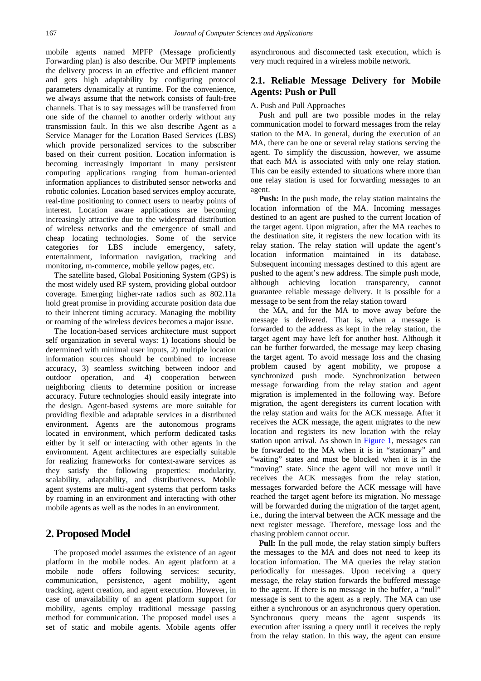mobile agents named MPFP (Message proficiently Forwarding plan) is also describe. Our MPFP implements the delivery process in an effective and efficient manner and gets high adaptability by configuring protocol parameters dynamically at runtime. For the convenience, we always assume that the network consists of fault-free channels. That is to say messages will be transferred from one side of the channel to another orderly without any transmission fault. In this we also describe Agent as a Service Manager for the Location Based Services (LBS) which provide personalized services to the subscriber based on their current position. Location information is becoming increasingly important in many persistent computing applications ranging from human-oriented information appliances to distributed sensor networks and robotic colonies. Location based services employ accurate, real-time positioning to connect users to nearby points of interest. Location aware applications are becoming increasingly attractive due to the widespread distribution of wireless networks and the emergence of small and cheap locating technologies. Some of the service categories for LBS include emergency, safety, entertainment, information navigation, tracking and monitoring, m-commerce, mobile yellow pages, etc.

The satellite based, Global Positioning System (GPS) is the most widely used RF system, providing global outdoor coverage. Emerging higher-rate radios such as 802.11a hold great promise in providing accurate position data due to their inherent timing accuracy. Managing the mobility or roaming of the wireless devices becomes a major issue.

The location-based services architecture must support self organization in several ways: 1) locations should be determined with minimal user inputs, 2) multiple location information sources should be combined to increase accuracy, 3) seamless switching between indoor and outdoor operation, and 4) cooperation between neighboring clients to determine position or increase accuracy. Future technologies should easily integrate into the design. Agent-based systems are more suitable for providing flexible and adaptable services in a distributed environment. Agents are the autonomous programs located in environment, which perform dedicated tasks either by it self or interacting with other agents in the environment. Agent architectures are especially suitable for realizing frameworks for context-aware services as they satisfy the following properties: modularity, scalability, adaptability, and distributiveness. Mobile agent systems are multi-agent systems that perform tasks by roaming in an environment and interacting with other mobile agents as well as the nodes in an environment.

## **2. Proposed Model**

The proposed model assumes the existence of an agent platform in the mobile nodes. An agent platform at a mobile node offers following services: security, communication, persistence, agent mobility, agent tracking, agent creation, and agent execution. However, in case of unavailability of an agent platform support for mobility, agents employ traditional message passing method for communication. The proposed model uses a set of static and mobile agents. Mobile agents offer asynchronous and disconnected task execution, which is very much required in a wireless mobile network.

#### **2.1. Reliable Message Delivery for Mobile Agents: Push or Pull**

#### A. Push and Pull Approaches

Push and pull are two possible modes in the relay communication model to forward messages from the relay station to the MA. In general, during the execution of an MA, there can be one or several relay stations serving the agent. To simplify the discussion, however, we assume that each MA is associated with only one relay station. This can be easily extended to situations where more than one relay station is used for forwarding messages to an agent.

Push: In the push mode, the relay station maintains the location information of the MA. Incoming messages destined to an agent are pushed to the current location of the target agent. Upon migration, after the MA reaches to the destination site, it registers the new location with its relay station. The relay station will update the agent's location information maintained in its database. Subsequent incoming messages destined to this agent are pushed to the agent's new address. The simple push mode, although achieving location transparency, cannot guarantee reliable message delivery. It is possible for a message to be sent from the relay station toward

the MA, and for the MA to move away before the message is delivered. That is, when a message is forwarded to the address as kept in the relay station, the target agent may have left for another host. Although it can be further forwarded, the message may keep chasing the target agent. To avoid message loss and the chasing problem caused by agent mobility, we propose a synchronized push mode. Synchronization between message forwarding from the relay station and agent migration is implemented in the following way. Before migration, the agent deregisters its current location with the relay station and waits for the ACK message. After it receives the ACK message, the agent migrates to the new location and registers its new location with the relay station upon arrival. As shown in [Figure 1,](#page-2-0) messages can be forwarded to the MA when it is in "stationary" and "waiting" states and must be blocked when it is in the "moving" state. Since the agent will not move until it receives the ACK messages from the relay station, messages forwarded before the ACK message will have reached the target agent before its migration. No message will be forwarded during the migration of the target agent, i.e., during the interval between the ACK message and the next register message. Therefore, message loss and the chasing problem cannot occur.

Pull: In the pull mode, the relay station simply buffers the messages to the MA and does not need to keep its location information. The MA queries the relay station periodically for messages. Upon receiving a query message, the relay station forwards the buffered message to the agent. If there is no message in the buffer, a "null" message is sent to the agent as a reply. The MA can use either a synchronous or an asynchronous query operation. Synchronous query means the agent suspends its execution after issuing a query until it receives the reply from the relay station. In this way, the agent can ensure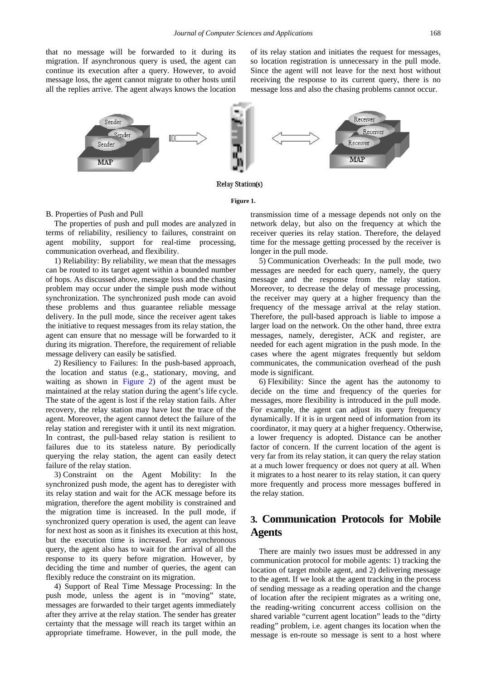that no message will be forwarded to it during its migration. If asynchronous query is used, the agent can continue its execution after a query. However, to avoid message loss, the agent cannot migrate to other hosts until all the replies arrive. The agent always knows the location of its relay station and initiates the request for messages, so location registration is unnecessary in the pull mode. Since the agent will not leave for the next host without receiving the response to its current query, there is no message loss and also the chasing problems cannot occur.

<span id="page-2-0"></span>

Relay Station(s)

**Figure 1.**

#### B. Properties of Push and Pull

The properties of push and pull modes are analyzed in terms of reliability, resiliency to failures, constraint on agent mobility, support for real-time processing, communication overhead, and flexibility.

1) Reliability: By reliability, we mean that the messages can be routed to its target agent within a bounded number of hops. As discussed above, message loss and the chasing problem may occur under the simple push mode without synchronization. The synchronized push mode can avoid these problems and thus guarantee reliable message delivery. In the pull mode, since the receiver agent takes the initiative to request messages from its relay station, the agent can ensure that no message will be forwarded to it during its migration. Therefore, the requirement of reliable message delivery can easily be satisfied.

2) Resiliency to Failures: In the push-based approach, the location and status (e.g., stationary, moving, and waiting as shown in [Figure 2\)](#page-3-0) of the agent must be maintained at the relay station during the agent's life cycle. The state of the agent is lost if the relay station fails. After recovery, the relay station may have lost the trace of the agent. Moreover, the agent cannot detect the failure of the relay station and reregister with it until its next migration. In contrast, the pull-based relay station is resilient to failures due to its stateless nature. By periodically querying the relay station, the agent can easily detect failure of the relay station.

3) Constraint on the Agent Mobility: In the synchronized push mode, the agent has to deregister with its relay station and wait for the ACK message before its migration, therefore the agent mobility is constrained and the migration time is increased. In the pull mode, if synchronized query operation is used, the agent can leave for next host as soon as it finishes its execution at this host, but the execution time is increased. For asynchronous query, the agent also has to wait for the arrival of all the response to its query before migration. However, by deciding the time and number of queries, the agent can flexibly reduce the constraint on its migration.

4) Support of Real Time Message Processing: In the push mode, unless the agent is in "moving" state, messages are forwarded to their target agents immediately after they arrive at the relay station. The sender has greater certainty that the message will reach its target within an appropriate timeframe. However, in the pull mode, the

transmission time of a message depends not only on the network delay, but also on the frequency at which the receiver queries its relay station. Therefore, the delayed time for the message getting processed by the receiver is longer in the pull mode.

5) Communication Overheads: In the pull mode, two messages are needed for each query, namely, the query message and the response from the relay station. Moreover, to decrease the delay of message processing, the receiver may query at a higher frequency than the frequency of the message arrival at the relay station. Therefore, the pull-based approach is liable to impose a larger load on the network. On the other hand, three extra messages, namely, deregister, ACK and register, are needed for each agent migration in the push mode. In the cases where the agent migrates frequently but seldom communicates, the communication overhead of the push mode is significant.

6) Flexibility: Since the agent has the autonomy to decide on the time and frequency of the queries for messages, more flexibility is introduced in the pull mode. For example, the agent can adjust its query frequency dynamically. If it is in urgent need of information from its coordinator, it may query at a higher frequency. Otherwise, a lower frequency is adopted. Distance can be another factor of concern. If the current location of the agent is very far from its relay station, it can query the relay station at a much lower frequency or does not query at all. When it migrates to a host nearer to its relay station, it can query more frequently and process more messages buffered in the relay station.

# **3. Communication Protocols for Mobile Agents**

There are mainly two issues must be addressed in any communication protocol for mobile agents: 1) tracking the location of target mobile agent, and 2) delivering message to the agent. If we look at the agent tracking in the process of sending message as a reading operation and the change of location after the recipient migrates as a writing one, the reading-writing concurrent access collision on the shared variable "current agent location" leads to the "dirty reading" problem, i.e. agent changes its location when the message is en-route so message is sent to a host where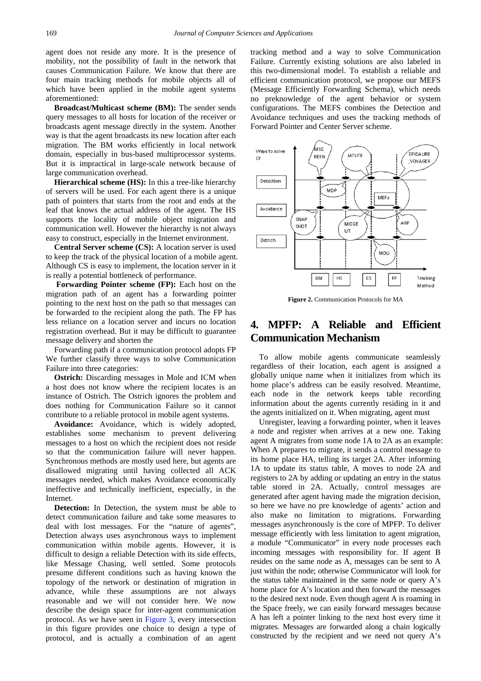agent does not reside any more. It is the presence of mobility, not the possibility of fault in the network that causes Communication Failure. We know that there are four main tracking methods for mobile objects all of which have been applied in the mobile agent systems aforementioned:

**Broadcast/Multicast scheme (BM):** The sender sends query messages to all hosts for location of the receiver or broadcasts agent message directly in the system. Another way is that the agent broadcasts its new location after each migration. The BM works efficiently in local network domain, especially in bus-based multiprocessor systems. But it is impractical in large-scale network because of large communication overhead.

**Hierarchical scheme (HS):** In this a tree-like hierarchy of servers will be used. For each agent there is a unique path of pointers that starts from the root and ends at the leaf that knows the actual address of the agent. The HS supports the locality of mobile object migration and communication well. However the hierarchy is not always easy to construct, especially in the Internet environment.

**Central Server scheme (CS):** A location server is used to keep the track of the physical location of a mobile agent. Although CS is easy to implement, the location server in it is really a potential bottleneck of performance.

**Forwarding Pointer scheme (FP):** Each host on the migration path of an agent has a forwarding pointer pointing to the next host on the path so that messages can be forwarded to the recipient along the path. The FP has less reliance on a location server and incurs no location registration overhead. But it may be difficult to guarantee message delivery and shorten the

Forwarding path if a communication protocol adopts FP We further classify three ways to solve Communication Failure into three categories:

**Ostrich:** Discarding messages in Mole and ICM when a host does not know where the recipient locates is an instance of Ostrich. The Ostrich ignores the problem and does nothing for Communication Failure so it cannot contribute to a reliable protocol in mobile agent systems.

**Avoidance:** Avoidance, which is widely adopted, establishes some mechanism to prevent delivering messages to a host on which the recipient does not reside so that the communication failure will never happen. Synchronous methods are mostly used here, but agents are disallowed migrating until having collected all ACK messages needed, which makes Avoidance economically ineffective and technically inefficient, especially, in the Internet.

**Detection:** In Detection, the system must be able to detect communication failure and take some measures to deal with lost messages. For the "nature of agents", Detection always uses asynchronous ways to implement communication within mobile agents. However, it is difficult to design a reliable Detection with its side effects, like Message Chasing, well settled. Some protocols presume different conditions such as having known the topology of the network or destination of migration in advance, while these assumptions are not always reasonable and we will not consider here. We now describe the design space for inter-agent communication protocol. As we have seen in [Figure 3,](#page-4-0) every intersection in this figure provides one choice to design a type of protocol, and is actually a combination of an agent tracking method and a way to solve Communication Failure. Currently existing solutions are also labeled in this two-dimensional model. To establish a reliable and efficient communication protocol, we propose our MEFS (Message Efficiently Forwarding Schema), which needs no preknowledge of the agent behavior or system configurations. The MEFS combines the Detection and Avoidance techniques and uses the tracking methods of Forward Pointer and Center Server scheme.

<span id="page-3-0"></span>

**Figure 2.** Communication Protocols for MA

## **4. MPFP: A Reliable and Efficient Communication Mechanism**

To allow mobile agents communicate seamlessly regardless of their location, each agent is assigned a globally unique name when it initializes from which its home place's address can be easily resolved. Meantime, each node in the network keeps table recording information about the agents currently residing in it and the agents initialized on it. When migrating, agent must

Unregister, leaving a forwarding pointer, when it leaves a node and register when arrives at a new one. Taking agent A migrates from some node 1A to 2A as an example: When A prepares to migrate, it sends a control message to its home place HA, telling its target 2A. After informing 1A to update its status table, A moves to node 2A and registers to 2A by adding or updating an entry in the status table stored in 2A. Actually, control messages are generated after agent having made the migration decision, so here we have no pre knowledge of agents' action and also make no limitation to migrations. Forwarding messages asynchronously is the core of MPFP. To deliver message efficiently with less limitation to agent migration, a module "Communicator" in every node processes each incoming messages with responsibility for. If agent B resides on the same node as A, messages can be sent to A just within the node; otherwise Communicator will look for the status table maintained in the same node or query A's home place for A's location and then forward the messages to the desired next node. Even though agent A is roaming in the Space freely, we can easily forward messages because A has left a pointer linking to the next host every time it migrates. Messages are forwarded along a chain logically constructed by the recipient and we need not query A's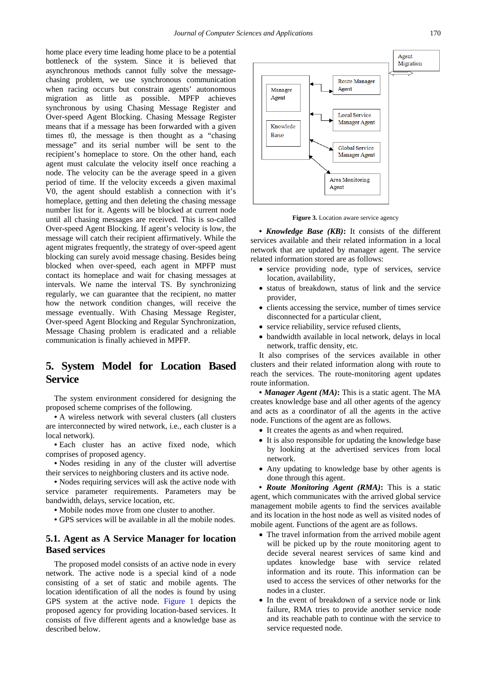home place every time leading home place to be a potential bottleneck of the system. Since it is believed that asynchronous methods cannot fully solve the messagechasing problem, we use synchronous communication when racing occurs but constrain agents' autonomous migration as little as possible. MPFP achieves synchronous by using Chasing Message Register and Over-speed Agent Blocking. Chasing Message Register means that if a message has been forwarded with a given times t0, the message is then thought as a "chasing message" and its serial number will be sent to the recipient's homeplace to store. On the other hand, each agent must calculate the velocity itself once reaching a node. The velocity can be the average speed in a given period of time. If the velocity exceeds a given maximal V0, the agent should establish a connection with it's homeplace, getting and then deleting the chasing message number list for it. Agents will be blocked at current node until all chasing messages are received. This is so-called Over-speed Agent Blocking. If agent's velocity is low, the message will catch their recipient affirmatively. While the agent migrates frequently, the strategy of over-speed agent blocking can surely avoid message chasing. Besides being blocked when over-speed, each agent in MPFP must contact its homeplace and wait for chasing messages at intervals. We name the interval TS. By synchronizing regularly, we can guarantee that the recipient, no matter how the network condition changes, will receive the message eventually. With Chasing Message Register, Over-speed Agent Blocking and Regular Synchronization, Message Chasing problem is eradicated and a reliable communication is finally achieved in MPFP.

## **5. System Model for Location Based Service**

The system environment considered for designing the proposed scheme comprises of the following.

*•* A wireless network with several clusters (all clusters are interconnected by wired network, i.e., each cluster is a local network).

*•* Each cluster has an active fixed node, which comprises of proposed agency.

*•* Nodes residing in any of the cluster will advertise their services to neighboring clusters and its active node.

*•* Nodes requiring services will ask the active node with service parameter requirements. Parameters may be bandwidth, delays, service location, etc.

• Mobile nodes move from one cluster to another.

*•* GPS services will be available in all the mobile nodes.

#### **5.1. Agent as A Service Manager for location Based services**

The proposed model consists of an active node in every network. The active node is a special kind of a node consisting of a set of static and mobile agents. The location identification of all the nodes is found by using GPS system at the active node. [Figure 1](#page-2-0) depicts the proposed agency for providing location-based services. It consists of five different agents and a knowledge base as described below.

<span id="page-4-0"></span>

**Figure 3.** Location aware service agency

*• Knowledge Base (KB)***:** It consists of the different services available and their related information in a local network that are updated by manager agent. The service related information stored are as follows:

- service providing node, type of services, service location, availability,
- status of breakdown, status of link and the service provider,
- clients accessing the service, number of times service disconnected for a particular client,
- service reliability, service refused clients,
- bandwidth available in local network, delays in local network, traffic density, etc.

It also comprises of the services available in other clusters and their related information along with route to reach the services. The route-monitoring agent updates route information.

*• Manager Agent (MA)***:** This is a static agent. The MA creates knowledge base and all other agents of the agency and acts as a coordinator of all the agents in the active node. Functions of the agent are as follows.

- It creates the agents as and when required.
- It is also responsible for updating the knowledge base by looking at the advertised services from local network.
- Any updating to knowledge base by other agents is done through this agent.

*• Route Monitoring Agent (RMA)***:** This is a static agent, which communicates with the arrived global service management mobile agents to find the services available and its location in the host node as well as visited nodes of mobile agent. Functions of the agent are as follows.

- The travel information from the arrived mobile agent will be picked up by the route monitoring agent to decide several nearest services of same kind and updates knowledge base with service related information and its route. This information can be used to access the services of other networks for the nodes in a cluster.
- In the event of breakdown of a service node or link failure, RMA tries to provide another service node and its reachable path to continue with the service to service requested node.